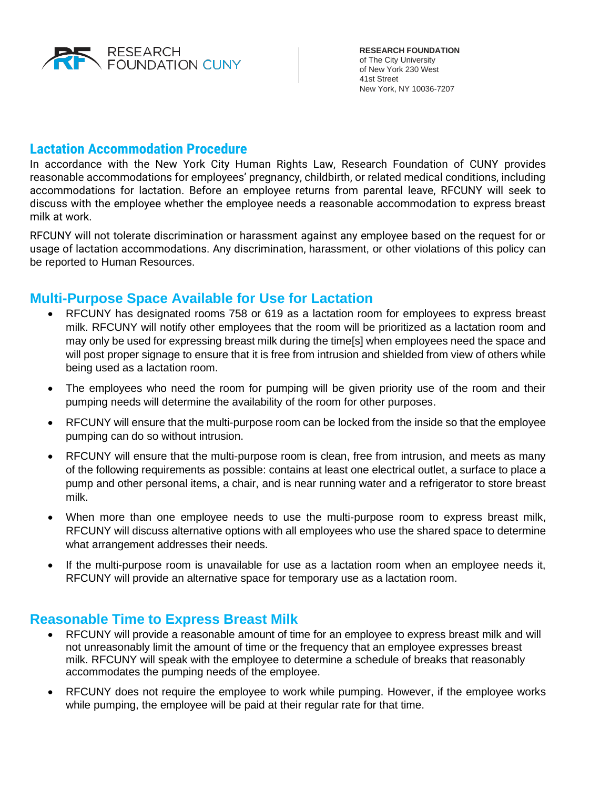

#### **Lactation Accommodation Procedure**

In accordance with the New York City Human Rights Law, Research Foundation of CUNY provides reasonable accommodations for employees' pregnancy, childbirth, or related medical conditions, including accommodations for lactation. Before an employee returns from parental leave, RFCUNY will seek to discuss with the employee whether the employee needs a reasonable accommodation to express breast milk at work.

RFCUNY will not tolerate discrimination or harassment against any employee based on the request for or usage of lactation accommodations. Any discrimination, harassment, or other violations of this policy can be reported to Human Resources.

### **Multi-Purpose Space Available for Use for Lactation**

- RFCUNY has designated rooms 758 or 619 as a lactation room for employees to express breast milk. RFCUNY will notify other employees that the room will be prioritized as a lactation room and may only be used for expressing breast milk during the time[s] when employees need the space and will post proper signage to ensure that it is free from intrusion and shielded from view of others while being used as a lactation room.
- The employees who need the room for pumping will be given priority use of the room and their pumping needs will determine the availability of the room for other purposes.
- RFCUNY will ensure that the multi-purpose room can be locked from the inside so that the employee pumping can do so without intrusion.
- RFCUNY will ensure that the multi-purpose room is clean, free from intrusion, and meets as many of the following requirements as possible: contains at least one electrical outlet, a surface to place a pump and other personal items, a chair, and is near running water and a refrigerator to store breast milk.
- When more than one employee needs to use the multi-purpose room to express breast milk, RFCUNY will discuss alternative options with all employees who use the shared space to determine what arrangement addresses their needs.
- If the multi-purpose room is unavailable for use as a lactation room when an employee needs it, RFCUNY will provide an alternative space for temporary use as a lactation room.

#### **Reasonable Time to Express Breast Milk**

- RFCUNY will provide a reasonable amount of time for an employee to express breast milk and will not unreasonably limit the amount of time or the frequency that an employee expresses breast milk. RFCUNY will speak with the employee to determine a schedule of breaks that reasonably accommodates the pumping needs of the employee.
- RFCUNY does not require the employee to work while pumping. However, if the employee works while pumping, the employee will be paid at their regular rate for that time.